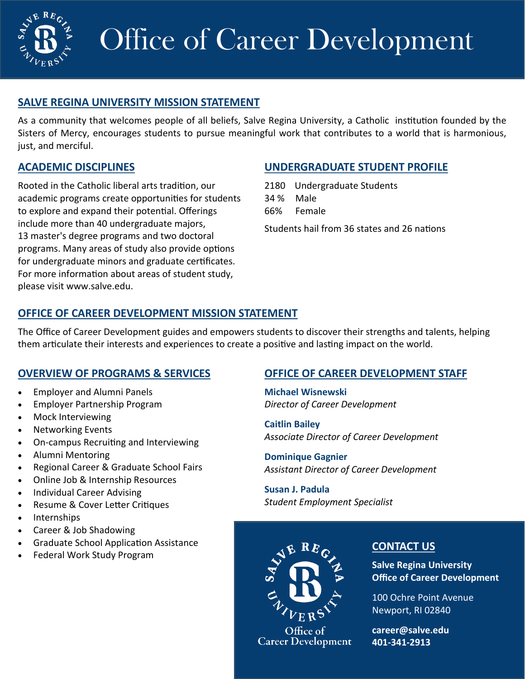

# Office of Career Development

# **SALVE REGINA UNIVERSITY MISSION STATEMENT**

As a community that welcomes people of all beliefs, Salve Regina University, a Catholic institution founded by the Sisters of Mercy, encourages students to pursue meaningful work that contributes to a world that is harmonious, just, and merciful.

## **ACADEMIC DISCIPLINES**

Rooted in the Catholic liberal arts tradition, our academic programs create opportunities for students to explore and expand their potential. Offerings include more than 40 undergraduate majors, 13 master's degree programs and two doctoral programs. Many areas of study also provide options for undergraduate minors and graduate certificates. For more information about areas of student study, please visit www.salve.edu.

## **UNDERGRADUATE STUDENT PROFILE**

2180 Undergraduate Students 34 % Male 66% Female

Students hail from 36 states and 26 nations

# **OFFICE OF CAREER DEVELOPMENT MISSION STATEMENT**

The Office of Career Development guides and empowers students to discover their strengths and talents, helping them articulate their interests and experiences to create a positive and lasting impact on the world.

# **OVERVIEW OF PROGRAMS & SERVICES**

- Employer and Alumni Panels
- Employer Partnership Program
- Mock Interviewing
- Networking Events
- On-campus Recruiting and Interviewing
- Alumni Mentoring
- Regional Career & Graduate School Fairs
- Online Job & Internship Resources
- Individual Career Advising
- Resume & Cover Letter Critiques
- Internships
- Career & Job Shadowing
- Graduate School Application Assistance
- Federal Work Study Program

# **OFFICE OF CAREER DEVELOPMENT STAFF**

**Michael Wisnewski** *Director of Career Development*

**Caitlin Bailey** *Associate Director of Career Development*

**Dominique Gagnier** *Assistant Director of Career Development*

**Susan J. Padula** *Student Employment Specialist* 



**Career Development** 

### **CONTACT US**

**Salve Regina University Office of Career Development**

100 Ochre Point Avenue Newport, RI 02840

**career@salve.edu 401-341-2913**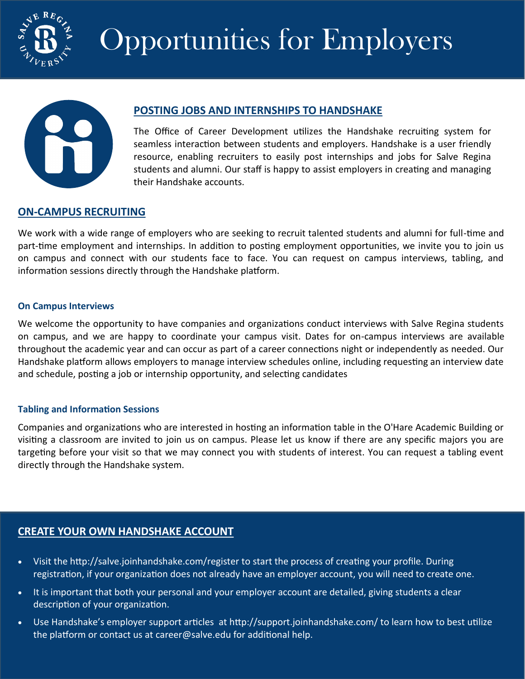

# Opportunities for Employers



## **POSTING JOBS AND INTERNSHIPS TO HANDSHAKE**

The Office of Career Development utilizes the Handshake recruiting system for seamless interaction between students and employers. Handshake is a user friendly resource, enabling recruiters to easily post internships and jobs for Salve Regina students and alumni. Our staff is happy to assist employers in creating and managing their Handshake accounts.

## **ON-CAMPUS RECRUITING**

We work with a wide range of employers who are seeking to recruit talented students and alumni for full-time and part-time employment and internships. In addition to posting employment opportunities, we invite you to join us on campus and connect with our students face to face. You can request on campus interviews, tabling, and information sessions directly through the Handshake platform.

#### **On Campus Interviews**

We welcome the opportunity to have companies and organizations conduct interviews with Salve Regina students on campus, and we are happy to coordinate your campus visit. Dates for on-campus interviews are available throughout the academic year and can occur as part of a career connections night or independently as needed. Our Handshake platform allows employers to manage interview schedules online, including requesting an interview date and schedule, posting a job or internship opportunity, and selecting candidates

### **Tabling and Information Sessions**

Companies and organizations who are interested in hosting an information table in the O'Hare Academic Building or visiting a classroom are invited to join us on campus. Please let us know if there are any specific majors you are targeting before your visit so that we may connect you with students of interest. You can request a tabling event directly through the Handshake system.

# **CREATE YOUR OWN HANDSHAKE ACCOUNT**

- Visit the http://salve.joinhandshake.com/register to start the process of creating your profile. During registration, if your organization does not already have an employer account, you will need to create one.
- It is important that both your personal and your employer account are detailed, giving students a clear description of your organization.
- Use Handshake's employer support articles at http://support.joinhandshake.com/ to learn how to best utilize the platform or contact us at career@salve.edu for additional help.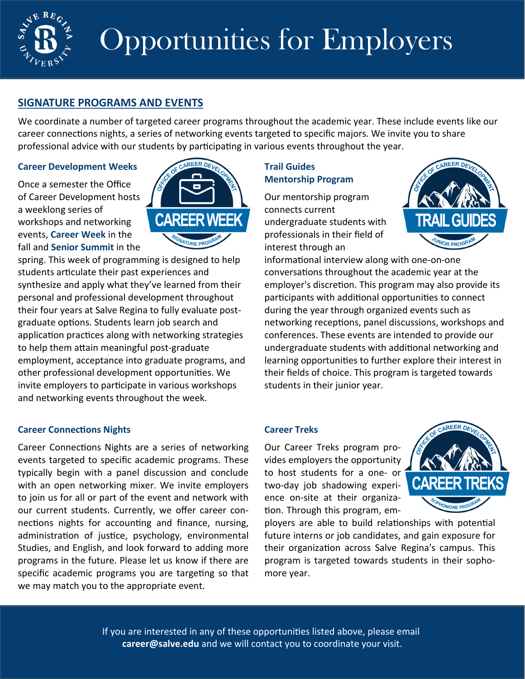

# Opportunities for Employers

## **SIGNATURE PROGRAMS AND EVENTS**

We coordinate a number of targeted career programs throughout the academic year. These include events like our career connections nights, a series of networking events targeted to specific majors. We invite you to share professional advice with our students by participating in various events throughout the year.

#### **Career Development Weeks**

Once a semester the Office of Career Development hosts a weeklong series of workshops and networking events, **Career Week** in the fall and **Senior Summit** in the



spring. This week of programming is designed to help students articulate their past experiences and synthesize and apply what they've learned from their personal and professional development throughout their four years at Salve Regina to fully evaluate postgraduate options. Students learn job search and application practices along with networking strategies to help them attain meaningful post-graduate employment, acceptance into graduate programs, and other professional development opportunities. We invite employers to participate in various workshops and networking events throughout the week.

### **Career Connections Nights**

Career Connections Nights are a series of networking events targeted to specific academic programs. These typically begin with a panel discussion and conclude with an open networking mixer. We invite employers to join us for all or part of the event and network with our current students. Currently, we offer career connections nights for accounting and finance, nursing, administration of justice, psychology, environmental Studies, and English, and look forward to adding more programs in the future. Please let us know if there are specific academic programs you are targeting so that we may match you to the appropriate event.

### **Trail Guides Mentorship Program**

Our mentorship program connects current undergraduate students with professionals in their field of interest through an



informational interview along with one-on-one conversations throughout the academic year at the employer's discretion. This program may also provide its participants with additional opportunities to connect during the year through organized events such as networking receptions, panel discussions, workshops and conferences. These events are intended to provide our undergraduate students with additional networking and learning opportunities to further explore their interest in their fields of choice. This program is targeted towards students in their junior year.

### **Career Treks**

Our Career Treks program provides employers the opportunity to host students for a one- or two-day job shadowing experience on-site at their organization. Through this program, em-



ployers are able to build relationships with potential future interns or job candidates, and gain exposure for their organization across Salve Regina's campus. This program is targeted towards students in their sophomore year.

If you are interested in any of these opportunities listed above, please email **career@salve.edu** and we will contact you to coordinate your visit.